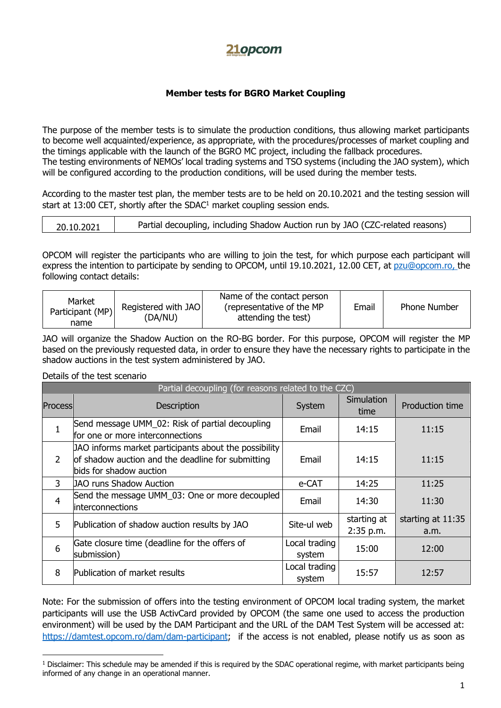## **21opcom**

## **Member tests for BGRO Market Coupling**

The purpose of the member tests is to simulate the production conditions, thus allowing market participants to become well acquainted/experience, as appropriate, with the procedures/processes of market coupling and the timings applicable with the launch of the BGRO MC project, including the fallback procedures. The testing environments of NEMOs' local trading systems and TSO systems (including the JAO system), which will be configured according to the production conditions, will be used during the member tests.

According to the master test plan, the member tests are to be held on 20.10.2021 and the testing session will start at 13:00 CET, shortly after the SDAC<sup>1</sup> market coupling session ends.

OPCOM will register the participants who are willing to join the test, for which purpose each participant will express the intention to participate by sending to OPCOM, until 19.10.2021, 12.00 CET, at [pzu@opcom.ro,](mailto:pzu@opcom.ro) the following contact details:

| Market<br>Registered with JAO<br>Participant (MP)<br>(DA/NU)<br>name | Name of the contact person<br>(representative of the MP<br>attending the test) | Email | <b>Phone Number</b> |
|----------------------------------------------------------------------|--------------------------------------------------------------------------------|-------|---------------------|
|----------------------------------------------------------------------|--------------------------------------------------------------------------------|-------|---------------------|

JAO will organize the Shadow Auction on the RO-BG border. For this purpose, OPCOM will register the MP based on the previously requested data, in order to ensure they have the necessary rights to participate in the shadow auctions in the test system administered by JAO.

Details of the test scenario

| Partial decoupling (for reasons related to the CZC) |                                                                                                                                       |                         |                          |                           |  |  |
|-----------------------------------------------------|---------------------------------------------------------------------------------------------------------------------------------------|-------------------------|--------------------------|---------------------------|--|--|
| Process                                             | <b>Description</b>                                                                                                                    | System                  | Simulation<br>time       | <b>Production time</b>    |  |  |
|                                                     | Send message UMM_02: Risk of partial decoupling<br>for one or more interconnections                                                   | Email                   | 14:15                    | 11:15                     |  |  |
| $\overline{2}$                                      | JAO informs market participants about the possibility<br>of shadow auction and the deadline for submitting<br>bids for shadow auction | Email                   | 14:15                    | 11:15                     |  |  |
| 3                                                   | JAO runs Shadow Auction                                                                                                               | e-CAT                   | 14:25                    | 11:25                     |  |  |
| 4                                                   | Send the message UMM_03: One or more decoupled<br>interconnections                                                                    | Email                   | 14:30                    | 11:30                     |  |  |
| 5                                                   | Publication of shadow auction results by JAO                                                                                          | Site-ul web             | starting at<br>2:35 p.m. | starting at 11:35<br>a.m. |  |  |
| 6                                                   | Gate closure time (deadline for the offers of<br>submission)                                                                          | Local trading<br>system | 15:00                    | 12:00                     |  |  |
| 8                                                   | Publication of market results                                                                                                         | Local trading<br>system | 15:57                    | 12:57                     |  |  |

Note: For the submission of offers into the testing environment of OPCOM local trading system, the market participants will use the USB ActivCard provided by OPCOM (the same one used to access the production environment) will be used by the DAM Participant and the URL of the DAM Test System will be accessed at: [https://damtest.opcom.ro/dam/dam-participant;](https://damtest.opcom.ro/dam/dam-participant) if the access is not enabled, please notify us as soon as

<sup>&</sup>lt;sup>1</sup> Disclaimer: This schedule may be amended if this is required by the SDAC operational regime, with market participants being informed of any change in an operational manner.